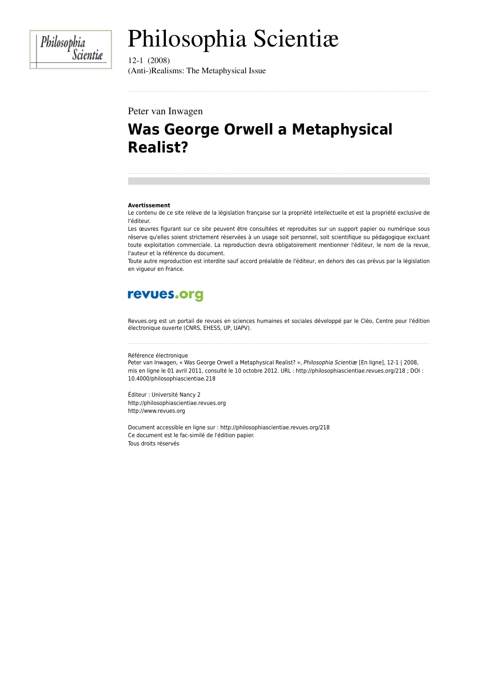Philosophia<br>Scientiæ

# Philosophia Scientiæ

 $12-1(2008)$ (Anti-)Realisms: The Metaphysical Issue

#### Peter van Inwagen

## **Was George Orwell a Metaphysical Realist?**

#### **Avertissement**

Le contenu de ce site relève de la législation française sur la propriété intellectuelle et est la propriété exclusive de l'éditeur.

Les œuvres figurant sur ce site peuvent être consultées et reproduites sur un support papier ou numérique sous réserve qu'elles soient strictement réservées à un usage soit personnel, soit scientifique ou pédagogique excluant toute exploitation commerciale. La reproduction devra obligatoirement mentionner l'éditeur, le nom de la revue, l'auteur et la référence du document.

Toute autre reproduction est interdite sauf accord préalable de l'éditeur, en dehors des cas prévus par la législation en vigueur en France.

## revues.org

Revues.org est un portail de revues en sciences humaines et sociales développé par le Cléo, Centre pour l'édition électronique ouverte (CNRS, EHESS, UP, UAPV).

Référence électronique

Peter van Inwagen, « Was George Orwell a Metaphysical Realist? », Philosophia Scientiæ [En ligne], 12-1 | 2008, mis en ligne le 01 avril 2011, consulté le 10 octobre 2012. URL : http://philosophiascientiae.revues.org/218 ; DOI : 10.4000/philosophiascientiae.218

Éditeur : Université Nancy 2 http://philosophiascientiae.revues.org http://www.revues.org

Document accessible en ligne sur : http://philosophiascientiae.revues.org/218 Ce document est le fac-similé de l'édition papier. Tous droits réservés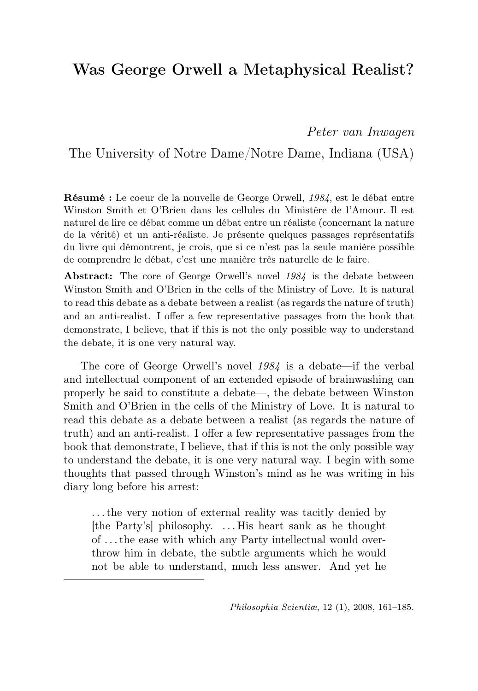## Was George Orwell a Metaphysical Realist?

Peter van Inwagen

The University of Notre Dame/Notre Dame, Indiana (USA)

Résumé : Le coeur de la nouvelle de George Orwell, 1984, est le débat entre Winston Smith et O'Brien dans les cellules du Ministère de l'Amour. Il est naturel de lire ce débat comme un débat entre un réaliste (concernant la nature de la vérité) et un anti-réaliste. Je présente quelques passages représentatifs du livre qui démontrent, je crois, que si ce n'est pas la seule manière possible de comprendre le débat, c'est une manière très naturelle de le faire.

Abstract: The core of George Orwell's novel 1984 is the debate between Winston Smith and O'Brien in the cells of the Ministry of Love. It is natural to read this debate as a debate between a realist (as regards the nature of truth) and an anti-realist. I offer a few representative passages from the book that demonstrate, I believe, that if this is not the only possible way to understand the debate, it is one very natural way.

The core of George Orwell's novel 1984 is a debate—if the verbal and intellectual component of an extended episode of brainwashing can properly be said to constitute a debate—, the debate between Winston Smith and O'Brien in the cells of the Ministry of Love. It is natural to read this debate as a debate between a realist (as regards the nature of truth) and an anti-realist. I offer a few representative passages from the book that demonstrate, I believe, that if this is not the only possible way to understand the debate, it is one very natural way. I begin with some thoughts that passed through Winston's mind as he was writing in his diary long before his arrest:

. . . the very notion of external reality was tacitly denied by [the Party's] philosophy. . . . His heart sank as he thought of . . . the ease with which any Party intellectual would overthrow him in debate, the subtle arguments which he would not be able to understand, much less answer. And yet he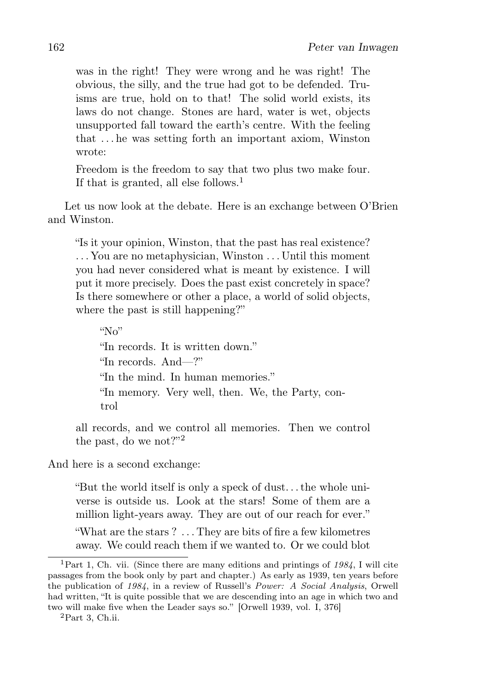was in the right! They were wrong and he was right! The obvious, the silly, and the true had got to be defended. Truisms are true, hold on to that! The solid world exists, its laws do not change. Stones are hard, water is wet, objects unsupported fall toward the earth's centre. With the feeling that . . . he was setting forth an important axiom, Winston wrote:

Freedom is the freedom to say that two plus two make four. If that is granted, all else follows.<sup>1</sup>

Let us now look at the debate. Here is an exchange between O'Brien and Winston.

"Is it your opinion, Winston, that the past has real existence? . . . You are no metaphysician, Winston . . . Until this moment you had never considered what is meant by existence. I will put it more precisely. Does the past exist concretely in space? Is there somewhere or other a place, a world of solid objects, where the past is still happening?"

 $\mathcal{N}_{N}$ "In records. It is written down." "In records. And—?" "In the mind. In human memories." "In memory. Very well, then. We, the Party, control

all records, and we control all memories. Then we control the past, do we not?"<sup>2</sup>

And here is a second exchange:

"But the world itself is only a speck of dust. . . the whole universe is outside us. Look at the stars! Some of them are a million light-years away. They are out of our reach for ever."

"What are the stars ? . . . They are bits of fire a few kilometres away. We could reach them if we wanted to. Or we could blot

<sup>&</sup>lt;sup>1</sup>Part 1, Ch. vii. (Since there are many editions and printings of  $1984$ , I will cite passages from the book only by part and chapter.) As early as 1939, ten years before the publication of 1984, in a review of Russell's Power: A Social Analysis, Orwell had written, "It is quite possible that we are descending into an age in which two and two will make five when the Leader says so." [Orwell 1939, vol. I, 376]

 ${}^{2}$ Part 3, Ch.ii.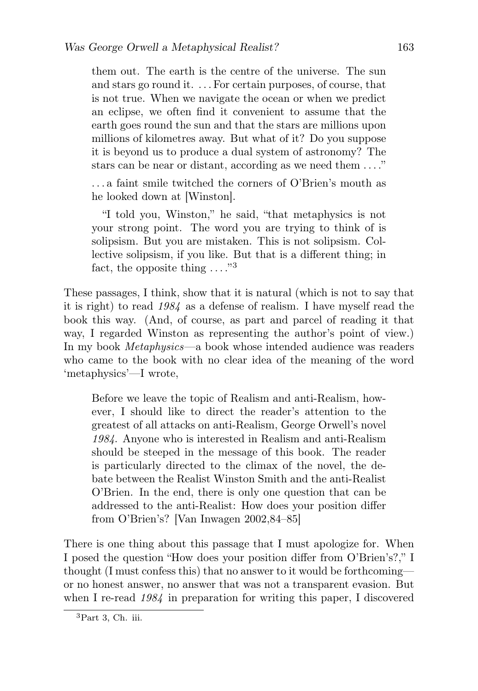them out. The earth is the centre of the universe. The sun and stars go round it. . . . For certain purposes, of course, that is not true. When we navigate the ocean or when we predict an eclipse, we often find it convenient to assume that the earth goes round the sun and that the stars are millions upon millions of kilometres away. But what of it? Do you suppose it is beyond us to produce a dual system of astronomy? The stars can be near or distant, according as we need them . . . ."

. . . a faint smile twitched the corners of O'Brien's mouth as he looked down at [Winston].

"I told you, Winston," he said, "that metaphysics is not your strong point. The word you are trying to think of is solipsism. But you are mistaken. This is not solipsism. Collective solipsism, if you like. But that is a different thing; in fact, the opposite thing  $\dots$ ."<sup>3</sup>

These passages, I think, show that it is natural (which is not to say that it is right) to read 1984 as a defense of realism. I have myself read the book this way. (And, of course, as part and parcel of reading it that way, I regarded Winston as representing the author's point of view.) In my book *Metaphysics*—a book whose intended audience was readers who came to the book with no clear idea of the meaning of the word 'metaphysics'—I wrote,

Before we leave the topic of Realism and anti-Realism, however, I should like to direct the reader's attention to the greatest of all attacks on anti-Realism, George Orwell's novel 1984. Anyone who is interested in Realism and anti-Realism should be steeped in the message of this book. The reader is particularly directed to the climax of the novel, the debate between the Realist Winston Smith and the anti-Realist O'Brien. In the end, there is only one question that can be addressed to the anti-Realist: How does your position differ from O'Brien's? [Van Inwagen 2002,84–85]

There is one thing about this passage that I must apologize for. When I posed the question "How does your position differ from O'Brien's?," I thought (I must confess this) that no answer to it would be forthcoming or no honest answer, no answer that was not a transparent evasion. But when I re-read  $1984$  in preparation for writing this paper, I discovered

<sup>3</sup>Part 3, Ch. iii.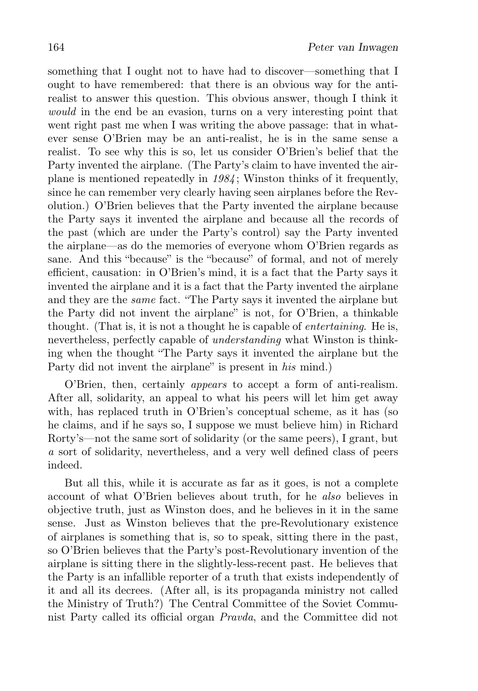something that I ought not to have had to discover—something that I ought to have remembered: that there is an obvious way for the antirealist to answer this question. This obvious answer, though I think it would in the end be an evasion, turns on a very interesting point that went right past me when I was writing the above passage: that in whatever sense O'Brien may be an anti-realist, he is in the same sense a realist. To see why this is so, let us consider O'Brien's belief that the Party invented the airplane. (The Party's claim to have invented the airplane is mentioned repeatedly in 1984 ; Winston thinks of it frequently, since he can remember very clearly having seen airplanes before the Revolution.) O'Brien believes that the Party invented the airplane because the Party says it invented the airplane and because all the records of the past (which are under the Party's control) say the Party invented the airplane—as do the memories of everyone whom O'Brien regards as sane. And this "because" is the "because" of formal, and not of merely efficient, causation: in O'Brien's mind, it is a fact that the Party says it invented the airplane and it is a fact that the Party invented the airplane and they are the same fact. "The Party says it invented the airplane but the Party did not invent the airplane" is not, for O'Brien, a thinkable thought. (That is, it is not a thought he is capable of *entertaining*. He is, nevertheless, perfectly capable of *understanding* what Winston is thinking when the thought "The Party says it invented the airplane but the Party did not invent the airplane" is present in his mind.)

O'Brien, then, certainly appears to accept a form of anti-realism. After all, solidarity, an appeal to what his peers will let him get away with, has replaced truth in O'Brien's conceptual scheme, as it has (so he claims, and if he says so, I suppose we must believe him) in Richard Rorty's—not the same sort of solidarity (or the same peers), I grant, but a sort of solidarity, nevertheless, and a very well defined class of peers indeed.

But all this, while it is accurate as far as it goes, is not a complete account of what O'Brien believes about truth, for he also believes in objective truth, just as Winston does, and he believes in it in the same sense. Just as Winston believes that the pre-Revolutionary existence of airplanes is something that is, so to speak, sitting there in the past, so O'Brien believes that the Party's post-Revolutionary invention of the airplane is sitting there in the slightly-less-recent past. He believes that the Party is an infallible reporter of a truth that exists independently of it and all its decrees. (After all, is its propaganda ministry not called the Ministry of Truth?) The Central Committee of the Soviet Communist Party called its official organ Pravda, and the Committee did not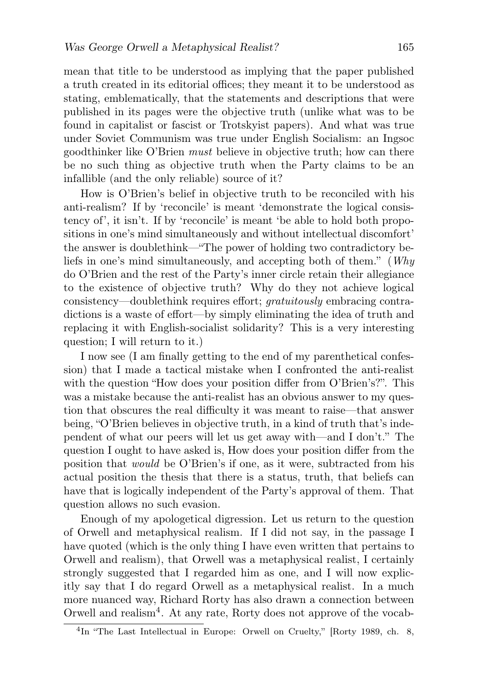mean that title to be understood as implying that the paper published a truth created in its editorial offices; they meant it to be understood as stating, emblematically, that the statements and descriptions that were published in its pages were the objective truth (unlike what was to be found in capitalist or fascist or Trotskyist papers). And what was true under Soviet Communism was true under English Socialism: an Ingsoc goodthinker like O'Brien must believe in objective truth; how can there be no such thing as objective truth when the Party claims to be an infallible (and the only reliable) source of it?

How is O'Brien's belief in objective truth to be reconciled with his anti-realism? If by 'reconcile' is meant 'demonstrate the logical consistency of', it isn't. If by 'reconcile' is meant 'be able to hold both propositions in one's mind simultaneously and without intellectual discomfort' the answer is doublethink—"The power of holding two contradictory beliefs in one's mind simultaneously, and accepting both of them." (Why do O'Brien and the rest of the Party's inner circle retain their allegiance to the existence of objective truth? Why do they not achieve logical consistency—doublethink requires effort; gratuitously embracing contradictions is a waste of effort—by simply eliminating the idea of truth and replacing it with English-socialist solidarity? This is a very interesting question; I will return to it.)

I now see (I am finally getting to the end of my parenthetical confession) that I made a tactical mistake when I confronted the anti-realist with the question "How does your position differ from O'Brien's?". This was a mistake because the anti-realist has an obvious answer to my question that obscures the real difficulty it was meant to raise—that answer being, "O'Brien believes in objective truth, in a kind of truth that's independent of what our peers will let us get away with—and I don't." The question I ought to have asked is, How does your position differ from the position that would be O'Brien's if one, as it were, subtracted from his actual position the thesis that there is a status, truth, that beliefs can have that is logically independent of the Party's approval of them. That question allows no such evasion.

Enough of my apologetical digression. Let us return to the question of Orwell and metaphysical realism. If I did not say, in the passage I have quoted (which is the only thing I have even written that pertains to Orwell and realism), that Orwell was a metaphysical realist, I certainly strongly suggested that I regarded him as one, and I will now explicitly say that I do regard Orwell as a metaphysical realist. In a much more nuanced way, Richard Rorty has also drawn a connection between Orwell and realism<sup>4</sup>. At any rate, Rorty does not approve of the vocab-

<sup>&</sup>lt;sup>4</sup>In "The Last Intellectual in Europe: Orwell on Cruelty," [Rorty 1989, ch. 8,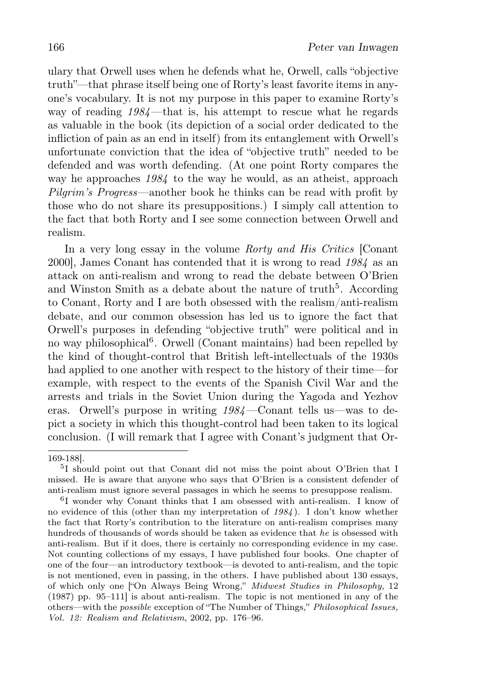ulary that Orwell uses when he defends what he, Orwell, calls "objective truth"—that phrase itself being one of Rorty's least favorite items in anyone's vocabulary. It is not my purpose in this paper to examine Rorty's way of reading  $1984$ —that is, his attempt to rescue what he regards as valuable in the book (its depiction of a social order dedicated to the infliction of pain as an end in itself) from its entanglement with Orwell's unfortunate conviction that the idea of "objective truth" needed to be defended and was worth defending. (At one point Rorty compares the way he approaches  $1984$  to the way he would, as an atheist, approach Pilgrim's Progress—another book he thinks can be read with profit by those who do not share its presuppositions.) I simply call attention to the fact that both Rorty and I see some connection between Orwell and realism.

In a very long essay in the volume Rorty and His Critics [Conant] 2000], James Conant has contended that it is wrong to read 1984 as an attack on anti-realism and wrong to read the debate between O'Brien and Winston Smith as a debate about the nature of  $truth<sup>5</sup>$ . According to Conant, Rorty and I are both obsessed with the realism/anti-realism debate, and our common obsession has led us to ignore the fact that Orwell's purposes in defending "objective truth" were political and in no way philosophical<sup>6</sup>. Orwell (Conant maintains) had been repelled by the kind of thought-control that British left-intellectuals of the 1930s had applied to one another with respect to the history of their time—for example, with respect to the events of the Spanish Civil War and the arrests and trials in the Soviet Union during the Yagoda and Yezhov eras. Orwell's purpose in writing 1984—Conant tells us—was to depict a society in which this thought-control had been taken to its logical conclusion. (I will remark that I agree with Conant's judgment that Or-

<sup>169-188].</sup>

<sup>5</sup> I should point out that Conant did not miss the point about O'Brien that I missed. He is aware that anyone who says that O'Brien is a consistent defender of anti-realism must ignore several passages in which he seems to presuppose realism.

<sup>6</sup> I wonder why Conant thinks that I am obsessed with anti-realism. I know of no evidence of this (other than my interpretation of 1984). I don't know whether the fact that Rorty's contribution to the literature on anti-realism comprises many hundreds of thousands of words should be taken as evidence that he is obsessed with anti-realism. But if it does, there is certainly no corresponding evidence in my case. Not counting collections of my essays, I have published four books. One chapter of one of the four—an introductory textbook—is devoted to anti-realism, and the topic is not mentioned, even in passing, in the others. I have published about 130 essays, of which only one ["On Always Being Wrong," Midwest Studies in Philosophy, 12 (1987) pp. 95–111] is about anti-realism. The topic is not mentioned in any of the others—with the possible exception of "The Number of Things," Philosophical Issues, Vol. 12: Realism and Relativism, 2002, pp. 176–96.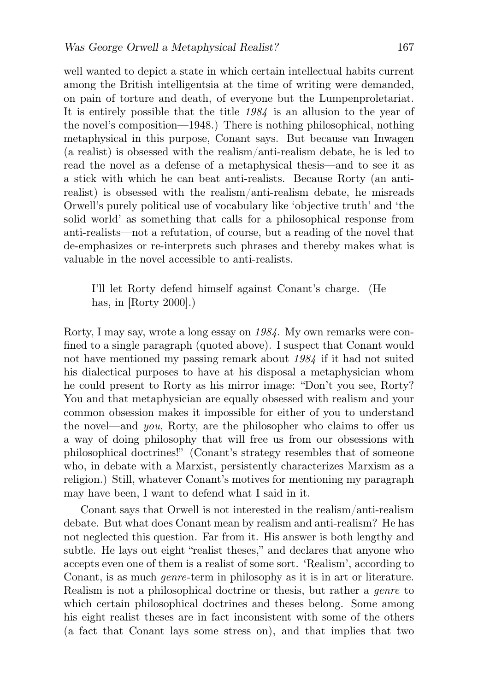well wanted to depict a state in which certain intellectual habits current among the British intelligentsia at the time of writing were demanded, on pain of torture and death, of everyone but the Lumpenproletariat. It is entirely possible that the title 1984 is an allusion to the year of the novel's composition—1948.) There is nothing philosophical, nothing metaphysical in this purpose, Conant says. But because van Inwagen (a realist) is obsessed with the realism/anti-realism debate, he is led to read the novel as a defense of a metaphysical thesis—and to see it as a stick with which he can beat anti-realists. Because Rorty (an antirealist) is obsessed with the realism/anti-realism debate, he misreads Orwell's purely political use of vocabulary like 'objective truth' and 'the solid world' as something that calls for a philosophical response from anti-realists—not a refutation, of course, but a reading of the novel that de-emphasizes or re-interprets such phrases and thereby makes what is valuable in the novel accessible to anti-realists.

I'll let Rorty defend himself against Conant's charge. (He has, in [Rorty 2000].)

Rorty, I may say, wrote a long essay on 1984. My own remarks were confined to a single paragraph (quoted above). I suspect that Conant would not have mentioned my passing remark about 1984 if it had not suited his dialectical purposes to have at his disposal a metaphysician whom he could present to Rorty as his mirror image: "Don't you see, Rorty? You and that metaphysician are equally obsessed with realism and your common obsession makes it impossible for either of you to understand the novel—and you, Rorty, are the philosopher who claims to offer us a way of doing philosophy that will free us from our obsessions with philosophical doctrines!" (Conant's strategy resembles that of someone who, in debate with a Marxist, persistently characterizes Marxism as a religion.) Still, whatever Conant's motives for mentioning my paragraph may have been, I want to defend what I said in it.

Conant says that Orwell is not interested in the realism/anti-realism debate. But what does Conant mean by realism and anti-realism? He has not neglected this question. Far from it. His answer is both lengthy and subtle. He lays out eight "realist theses," and declares that anyone who accepts even one of them is a realist of some sort. 'Realism', according to Conant, is as much genre-term in philosophy as it is in art or literature. Realism is not a philosophical doctrine or thesis, but rather a genre to which certain philosophical doctrines and theses belong. Some among his eight realist theses are in fact inconsistent with some of the others (a fact that Conant lays some stress on), and that implies that two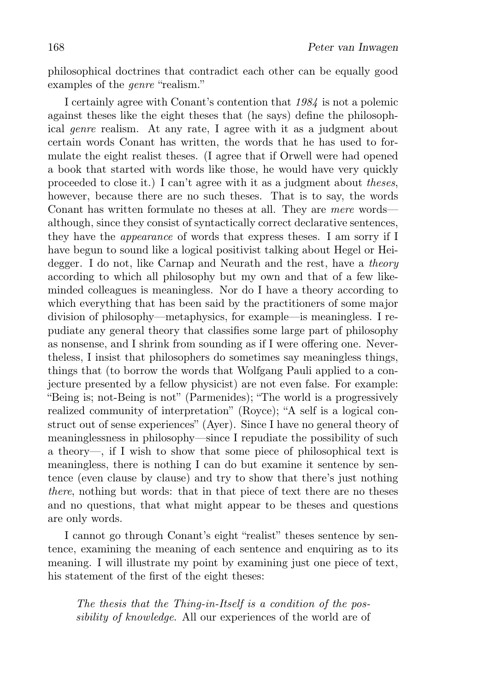philosophical doctrines that contradict each other can be equally good examples of the *genre* "realism."

I certainly agree with Conant's contention that 1984 is not a polemic against theses like the eight theses that (he says) define the philosophical genre realism. At any rate, I agree with it as a judgment about certain words Conant has written, the words that he has used to formulate the eight realist theses. (I agree that if Orwell were had opened a book that started with words like those, he would have very quickly proceeded to close it.) I can't agree with it as a judgment about theses, however, because there are no such theses. That is to say, the words Conant has written formulate no theses at all. They are mere words although, since they consist of syntactically correct declarative sentences, they have the appearance of words that express theses. I am sorry if I have begun to sound like a logical positivist talking about Hegel or Heidegger. I do not, like Carnap and Neurath and the rest, have a *theory* according to which all philosophy but my own and that of a few likeminded colleagues is meaningless. Nor do I have a theory according to which everything that has been said by the practitioners of some major division of philosophy—metaphysics, for example—is meaningless. I repudiate any general theory that classifies some large part of philosophy as nonsense, and I shrink from sounding as if I were offering one. Nevertheless, I insist that philosophers do sometimes say meaningless things, things that (to borrow the words that Wolfgang Pauli applied to a conjecture presented by a fellow physicist) are not even false. For example: "Being is; not-Being is not" (Parmenides); "The world is a progressively realized community of interpretation" (Royce); "A self is a logical construct out of sense experiences" (Ayer). Since I have no general theory of meaninglessness in philosophy—since I repudiate the possibility of such a theory—, if I wish to show that some piece of philosophical text is meaningless, there is nothing I can do but examine it sentence by sentence (even clause by clause) and try to show that there's just nothing there, nothing but words: that in that piece of text there are no theses and no questions, that what might appear to be theses and questions are only words.

I cannot go through Conant's eight "realist" theses sentence by sentence, examining the meaning of each sentence and enquiring as to its meaning. I will illustrate my point by examining just one piece of text, his statement of the first of the eight theses:

The thesis that the Thing-in-Itself is a condition of the possibility of knowledge. All our experiences of the world are of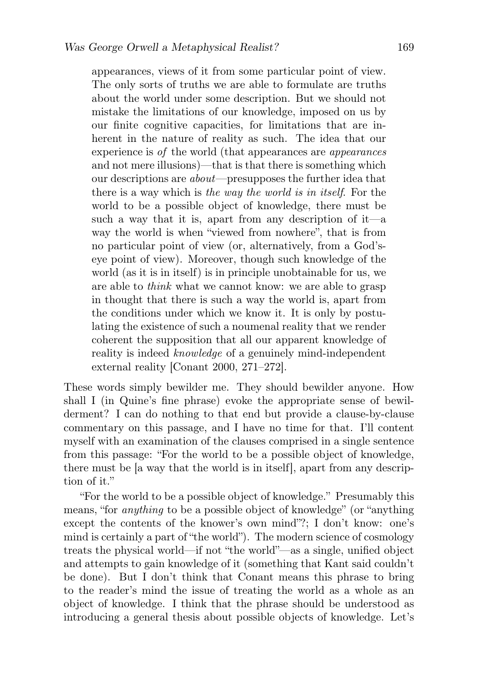appearances, views of it from some particular point of view. The only sorts of truths we are able to formulate are truths about the world under some description. But we should not mistake the limitations of our knowledge, imposed on us by our finite cognitive capacities, for limitations that are inherent in the nature of reality as such. The idea that our experience is of the world (that appearances are appearances and not mere illusions)—that is that there is something which our descriptions are about—presupposes the further idea that there is a way which is the way the world is in itself. For the world to be a possible object of knowledge, there must be such a way that it is, apart from any description of it—a way the world is when "viewed from nowhere", that is from no particular point of view (or, alternatively, from a God'seye point of view). Moreover, though such knowledge of the world (as it is in itself) is in principle unobtainable for us, we are able to think what we cannot know: we are able to grasp in thought that there is such a way the world is, apart from the conditions under which we know it. It is only by postulating the existence of such a noumenal reality that we render coherent the supposition that all our apparent knowledge of reality is indeed knowledge of a genuinely mind-independent external reality [Conant 2000, 271–272].

These words simply bewilder me. They should bewilder anyone. How shall I (in Quine's fine phrase) evoke the appropriate sense of bewilderment? I can do nothing to that end but provide a clause-by-clause commentary on this passage, and I have no time for that. I'll content myself with an examination of the clauses comprised in a single sentence from this passage: "For the world to be a possible object of knowledge, there must be [a way that the world is in itself], apart from any description of it."

"For the world to be a possible object of knowledge." Presumably this means, "for anything to be a possible object of knowledge" (or "anything except the contents of the knower's own mind"?; I don't know: one's mind is certainly a part of "the world"). The modern science of cosmology treats the physical world—if not "the world"—as a single, unified object and attempts to gain knowledge of it (something that Kant said couldn't be done). But I don't think that Conant means this phrase to bring to the reader's mind the issue of treating the world as a whole as an object of knowledge. I think that the phrase should be understood as introducing a general thesis about possible objects of knowledge. Let's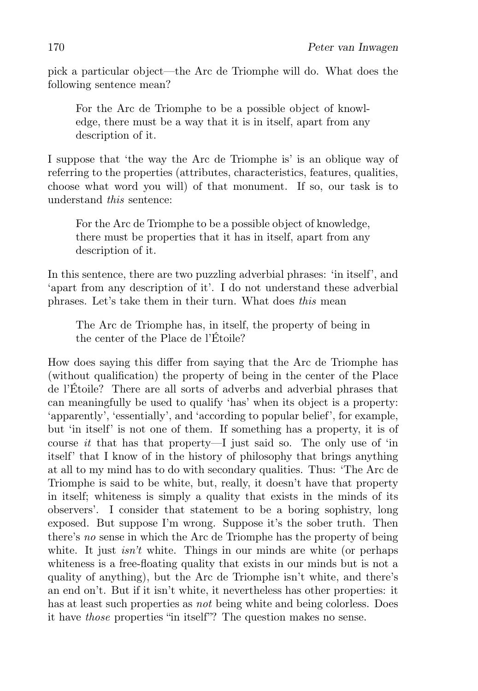pick a particular object—the Arc de Triomphe will do. What does the following sentence mean?

For the Arc de Triomphe to be a possible object of knowledge, there must be a way that it is in itself, apart from any description of it.

I suppose that 'the way the Arc de Triomphe is' is an oblique way of referring to the properties (attributes, characteristics, features, qualities, choose what word you will) of that monument. If so, our task is to understand this sentence:

For the Arc de Triomphe to be a possible object of knowledge, there must be properties that it has in itself, apart from any description of it.

In this sentence, there are two puzzling adverbial phrases: 'in itself', and 'apart from any description of it'. I do not understand these adverbial phrases. Let's take them in their turn. What does this mean

The Arc de Triomphe has, in itself, the property of being in the center of the Place de l'Étoile?

How does saying this differ from saying that the Arc de Triomphe has (without qualification) the property of being in the center of the Place de l'Étoile? There are all sorts of adverbs and adverbial phrases that can meaningfully be used to qualify 'has' when its object is a property: 'apparently', 'essentially', and 'according to popular belief', for example, but 'in itself' is not one of them. If something has a property, it is of course it that has that property—I just said so. The only use of 'in itself' that I know of in the history of philosophy that brings anything at all to my mind has to do with secondary qualities. Thus: 'The Arc de Triomphe is said to be white, but, really, it doesn't have that property in itself; whiteness is simply a quality that exists in the minds of its observers'. I consider that statement to be a boring sophistry, long exposed. But suppose I'm wrong. Suppose it's the sober truth. Then there's no sense in which the Arc de Triomphe has the property of being white. It just  $isn't$  white. Things in our minds are white (or perhaps whiteness is a free-floating quality that exists in our minds but is not a quality of anything), but the Arc de Triomphe isn't white, and there's an end on't. But if it isn't white, it nevertheless has other properties: it has at least such properties as *not* being white and being colorless. Does it have those properties "in itself"? The question makes no sense.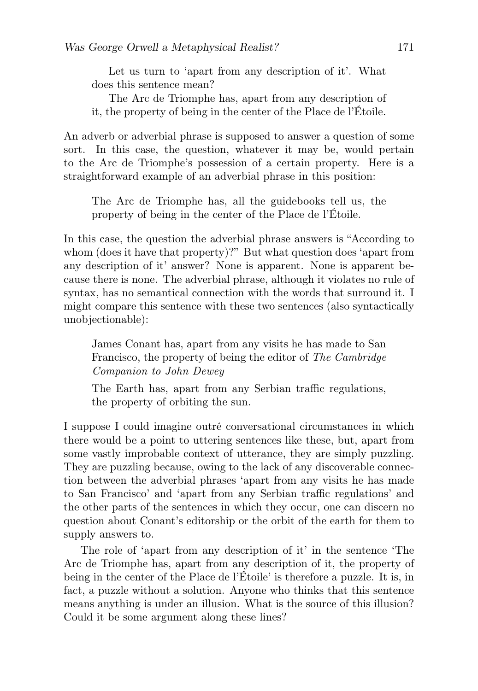Let us turn to 'apart from any description of it'. What does this sentence mean?

The Arc de Triomphe has, apart from any description of it, the property of being in the center of the Place de l'Étoile.

An adverb or adverbial phrase is supposed to answer a question of some sort. In this case, the question, whatever it may be, would pertain to the Arc de Triomphe's possession of a certain property. Here is a straightforward example of an adverbial phrase in this position:

The Arc de Triomphe has, all the guidebooks tell us, the property of being in the center of the Place de l'Étoile.

In this case, the question the adverbial phrase answers is "According to whom (does it have that property)?" But what question does 'apart from any description of it' answer? None is apparent. None is apparent because there is none. The adverbial phrase, although it violates no rule of syntax, has no semantical connection with the words that surround it. I might compare this sentence with these two sentences (also syntactically unobjectionable):

James Conant has, apart from any visits he has made to San Francisco, the property of being the editor of The Cambridge Companion to John Dewey

The Earth has, apart from any Serbian traffic regulations, the property of orbiting the sun.

I suppose I could imagine outré conversational circumstances in which there would be a point to uttering sentences like these, but, apart from some vastly improbable context of utterance, they are simply puzzling. They are puzzling because, owing to the lack of any discoverable connection between the adverbial phrases 'apart from any visits he has made to San Francisco' and 'apart from any Serbian traffic regulations' and the other parts of the sentences in which they occur, one can discern no question about Conant's editorship or the orbit of the earth for them to supply answers to.

The role of 'apart from any description of it' in the sentence 'The Arc de Triomphe has, apart from any description of it, the property of being in the center of the Place de l'Étoile' is therefore a puzzle. It is, in fact, a puzzle without a solution. Anyone who thinks that this sentence means anything is under an illusion. What is the source of this illusion? Could it be some argument along these lines?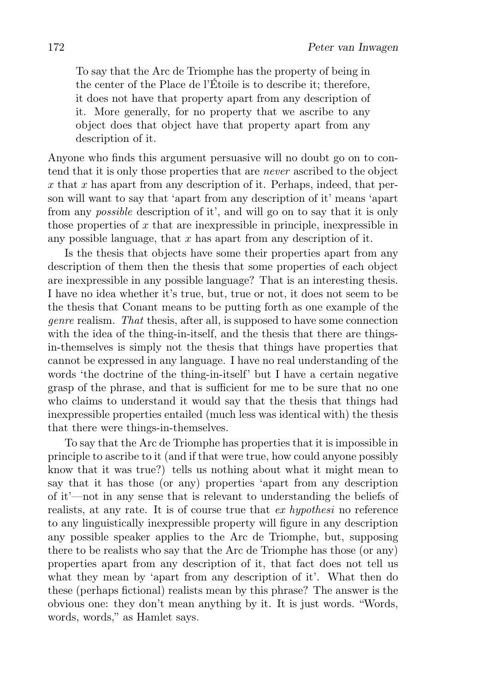To say that the Arc de Triomphe has the property of being in the center of the Place de l'Étoile is to describe it; therefore, it does not have that property apart from any description of it. More generally, for no property that we ascribe to any object does that object have that property apart from any description of it.

Anyone who finds this argument persuasive will no doubt go on to contend that it is only those properties that are never ascribed to the object  $x$  that  $x$  has apart from any description of it. Perhaps, indeed, that person will want to say that 'apart from any description of it' means 'apart from any possible description of it', and will go on to say that it is only those properties of  $x$  that are inexpressible in principle, inexpressible in any possible language, that  $x$  has apart from any description of it.

Is the thesis that objects have some their properties apart from any description of them then the thesis that some properties of each object are inexpressible in any possible language? That is an interesting thesis. I have no idea whether it's true, but, true or not, it does not seem to be the thesis that Conant means to be putting forth as one example of the genre realism. That thesis, after all, is supposed to have some connection with the idea of the thing-in-itself, and the thesis that there are thingsin-themselves is simply not the thesis that things have properties that cannot be expressed in any language. I have no real understanding of the words 'the doctrine of the thing-in-itself' but I have a certain negative grasp of the phrase, and that is sufficient for me to be sure that no one who claims to understand it would say that the thesis that things had inexpressible properties entailed (much less was identical with) the thesis that there were things-in-themselves.

To say that the Arc de Triomphe has properties that it is impossible in principle to ascribe to it (and if that were true, how could anyone possibly know that it was true?) tells us nothing about what it might mean to say that it has those (or any) properties 'apart from any description of it'—not in any sense that is relevant to understanding the beliefs of realists, at any rate. It is of course true that ex hypothesi no reference to any linguistically inexpressible property will figure in any description any possible speaker applies to the Arc de Triomphe, but, supposing there to be realists who say that the Arc de Triomphe has those (or any) properties apart from any description of it, that fact does not tell us what they mean by 'apart from any description of it'. What then do these (perhaps fictional) realists mean by this phrase? The answer is the obvious one: they don't mean anything by it. It is just words. "Words, words, words," as Hamlet says.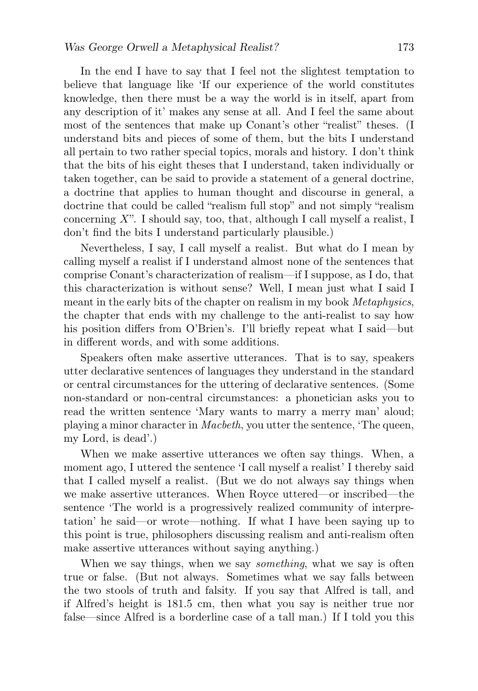In the end I have to say that I feel not the slightest temptation to believe that language like 'If our experience of the world constitutes knowledge, then there must be a way the world is in itself, apart from any description of it' makes any sense at all. And I feel the same about most of the sentences that make up Conant's other "realist" theses. (I understand bits and pieces of some of them, but the bits I understand all pertain to two rather special topics, morals and history. I don't think that the bits of his eight theses that I understand, taken individually or taken together, can be said to provide a statement of a general doctrine, a doctrine that applies to human thought and discourse in general, a doctrine that could be called "realism full stop" and not simply "realism concerning  $X$ ". I should say, too, that, although I call myself a realist, I don't find the bits I understand particularly plausible.)

Nevertheless, I say, I call myself a realist. But what do I mean by calling myself a realist if I understand almost none of the sentences that comprise Conant's characterization of realism—if I suppose, as I do, that this characterization is without sense? Well, I mean just what I said I meant in the early bits of the chapter on realism in my book *Metaphysics*, the chapter that ends with my challenge to the anti-realist to say how his position differs from O'Brien's. I'll briefly repeat what I said—but in different words, and with some additions.

Speakers often make assertive utterances. That is to say, speakers utter declarative sentences of languages they understand in the standard or central circumstances for the uttering of declarative sentences. (Some non-standard or non-central circumstances: a phonetician asks you to read the written sentence 'Mary wants to marry a merry man' aloud; playing a minor character in Macbeth, you utter the sentence, 'The queen, my Lord, is dead'.)

When we make assertive utterances we often say things. When, a moment ago, I uttered the sentence 'I call myself a realist' I thereby said that I called myself a realist. (But we do not always say things when we make assertive utterances. When Royce uttered—or inscribed—the sentence 'The world is a progressively realized community of interpretation' he said—or wrote—nothing. If what I have been saying up to this point is true, philosophers discussing realism and anti-realism often make assertive utterances without saying anything.)

When we say things, when we say *something*, what we say is often true or false. (But not always. Sometimes what we say falls between the two stools of truth and falsity. If you say that Alfred is tall, and if Alfred's height is 181.5 cm, then what you say is neither true nor false—since Alfred is a borderline case of a tall man.) If I told you this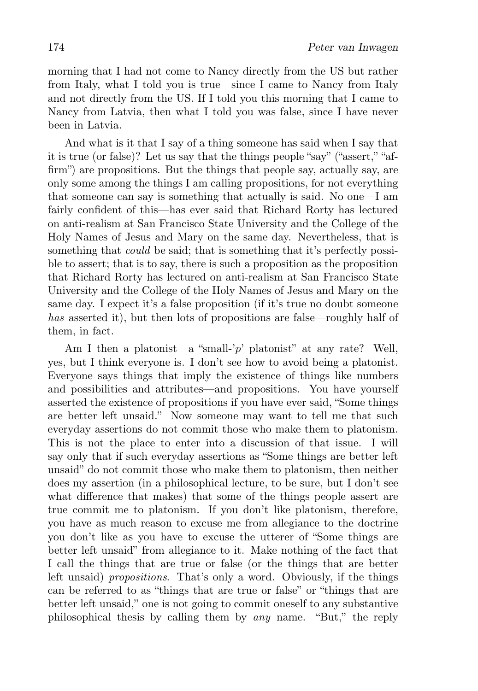morning that I had not come to Nancy directly from the US but rather from Italy, what I told you is true—since I came to Nancy from Italy and not directly from the US. If I told you this morning that I came to Nancy from Latvia, then what I told you was false, since I have never been in Latvia.

And what is it that I say of a thing someone has said when I say that it is true (or false)? Let us say that the things people "say" ("assert," "affirm") are propositions. But the things that people say, actually say, are only some among the things I am calling propositions, for not everything that someone can say is something that actually is said. No one—I am fairly confident of this—has ever said that Richard Rorty has lectured on anti-realism at San Francisco State University and the College of the Holy Names of Jesus and Mary on the same day. Nevertheless, that is something that *could* be said; that is something that it's perfectly possible to assert; that is to say, there is such a proposition as the proposition that Richard Rorty has lectured on anti-realism at San Francisco State University and the College of the Holy Names of Jesus and Mary on the same day. I expect it's a false proposition (if it's true no doubt someone has asserted it), but then lots of propositions are false—roughly half of them, in fact.

Am I then a platonist—a "small-'p' platonist" at any rate? Well, yes, but I think everyone is. I don't see how to avoid being a platonist. Everyone says things that imply the existence of things like numbers and possibilities and attributes—and propositions. You have yourself asserted the existence of propositions if you have ever said, "Some things are better left unsaid." Now someone may want to tell me that such everyday assertions do not commit those who make them to platonism. This is not the place to enter into a discussion of that issue. I will say only that if such everyday assertions as "Some things are better left unsaid" do not commit those who make them to platonism, then neither does my assertion (in a philosophical lecture, to be sure, but I don't see what difference that makes) that some of the things people assert are true commit me to platonism. If you don't like platonism, therefore, you have as much reason to excuse me from allegiance to the doctrine you don't like as you have to excuse the utterer of "Some things are better left unsaid" from allegiance to it. Make nothing of the fact that I call the things that are true or false (or the things that are better left unsaid) *propositions*. That's only a word. Obviously, if the things can be referred to as "things that are true or false" or "things that are better left unsaid," one is not going to commit oneself to any substantive philosophical thesis by calling them by any name. "But," the reply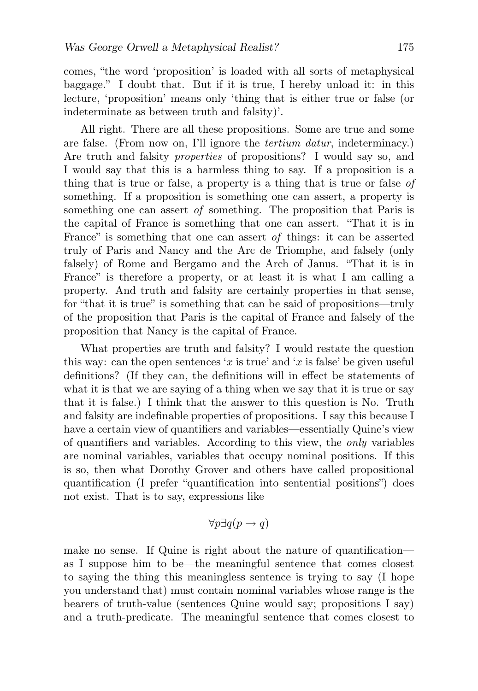comes, "the word 'proposition' is loaded with all sorts of metaphysical baggage." I doubt that. But if it is true, I hereby unload it: in this lecture, 'proposition' means only 'thing that is either true or false (or indeterminate as between truth and falsity)'.

All right. There are all these propositions. Some are true and some are false. (From now on, I'll ignore the tertium datur, indeterminacy.) Are truth and falsity *properties* of propositions? I would say so, and I would say that this is a harmless thing to say. If a proposition is a thing that is true or false, a property is a thing that is true or false of something. If a proposition is something one can assert, a property is something one can assert of something. The proposition that Paris is the capital of France is something that one can assert. "That it is in France" is something that one can assert of things: it can be asserted truly of Paris and Nancy and the Arc de Triomphe, and falsely (only falsely) of Rome and Bergamo and the Arch of Janus. "That it is in France" is therefore a property, or at least it is what I am calling a property. And truth and falsity are certainly properties in that sense, for "that it is true" is something that can be said of propositions—truly of the proposition that Paris is the capital of France and falsely of the proposition that Nancy is the capital of France.

What properties are truth and falsity? I would restate the question this way: can the open sentences 'x is true' and 'x is false' be given useful definitions? (If they can, the definitions will in effect be statements of what it is that we are saying of a thing when we say that it is true or say that it is false.) I think that the answer to this question is No. Truth and falsity are indefinable properties of propositions. I say this because I have a certain view of quantifiers and variables—essentially Quine's view of quantifiers and variables. According to this view, the only variables are nominal variables, variables that occupy nominal positions. If this is so, then what Dorothy Grover and others have called propositional quantification (I prefer "quantification into sentential positions") does not exist. That is to say, expressions like

$$
\forall p \exists q (p \to q)
$$

make no sense. If Quine is right about the nature of quantification as I suppose him to be—the meaningful sentence that comes closest to saying the thing this meaningless sentence is trying to say (I hope you understand that) must contain nominal variables whose range is the bearers of truth-value (sentences Quine would say; propositions I say) and a truth-predicate. The meaningful sentence that comes closest to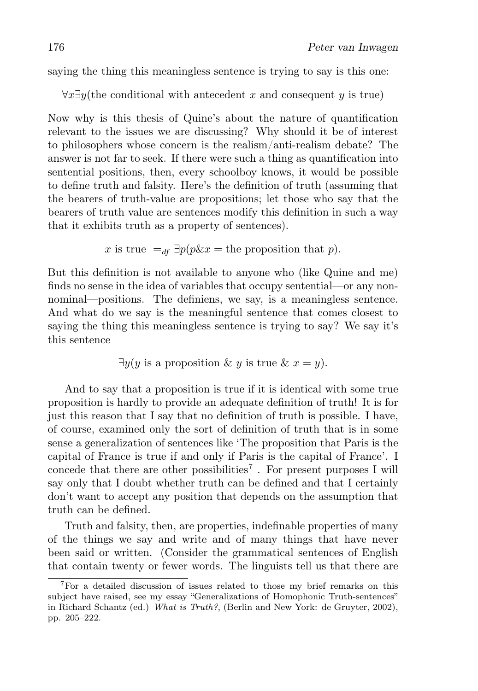saying the thing this meaningless sentence is trying to say is this one:

 $\forall x \exists y$ (the conditional with antecedent x and consequent y is true)

Now why is this thesis of Quine's about the nature of quantification relevant to the issues we are discussing? Why should it be of interest to philosophers whose concern is the realism/anti-realism debate? The answer is not far to seek. If there were such a thing as quantification into sentential positions, then, every schoolboy knows, it would be possible to define truth and falsity. Here's the definition of truth (assuming that the bearers of truth-value are propositions; let those who say that the bearers of truth value are sentences modify this definition in such a way that it exhibits truth as a property of sentences).

x is true =
$$
_{df}
$$
  $\exists p(p\&x =$  the proposition that p).

But this definition is not available to anyone who (like Quine and me) finds no sense in the idea of variables that occupy sentential—or any nonnominal—positions. The definiens, we say, is a meaningless sentence. And what do we say is the meaningful sentence that comes closest to saying the thing this meaningless sentence is trying to say? We say it's this sentence

 $\exists y (y \text{ is a proposition } \& y \text{ is true } \& x = y).$ 

And to say that a proposition is true if it is identical with some true proposition is hardly to provide an adequate definition of truth! It is for just this reason that I say that no definition of truth is possible. I have, of course, examined only the sort of definition of truth that is in some sense a generalization of sentences like 'The proposition that Paris is the capital of France is true if and only if Paris is the capital of France'. I concede that there are other possibilities<sup>7</sup>. For present purposes I will say only that I doubt whether truth can be defined and that I certainly don't want to accept any position that depends on the assumption that truth can be defined.

Truth and falsity, then, are properties, indefinable properties of many of the things we say and write and of many things that have never been said or written. (Consider the grammatical sentences of English that contain twenty or fewer words. The linguists tell us that there are

<sup>7</sup>For a detailed discussion of issues related to those my brief remarks on this subject have raised, see my essay "Generalizations of Homophonic Truth-sentences" in Richard Schantz (ed.) What is Truth?, (Berlin and New York: de Gruyter, 2002), pp. 205–222.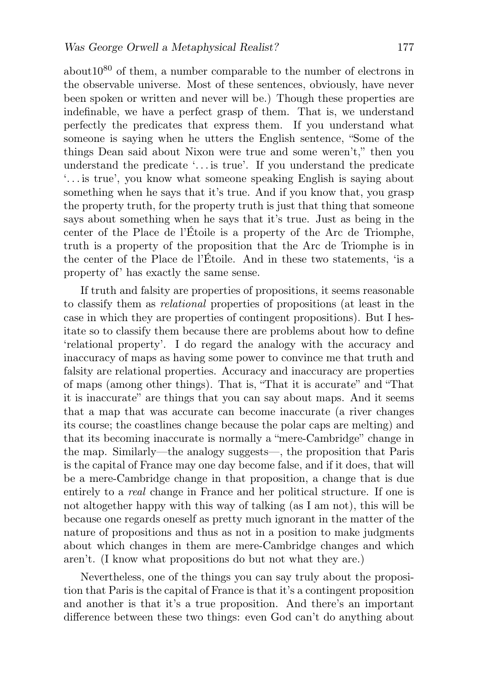about  $10^{80}$  of them, a number comparable to the number of electrons in the observable universe. Most of these sentences, obviously, have never been spoken or written and never will be.) Though these properties are indefinable, we have a perfect grasp of them. That is, we understand perfectly the predicates that express them. If you understand what someone is saying when he utters the English sentence, "Some of the things Dean said about Nixon were true and some weren't," then you understand the predicate  $\ldots$  is true'. If you understand the predicate '. . . is true', you know what someone speaking English is saying about something when he says that it's true. And if you know that, you grasp the property truth, for the property truth is just that thing that someone says about something when he says that it's true. Just as being in the center of the Place de l'Étoile is a property of the Arc de Triomphe, truth is a property of the proposition that the Arc de Triomphe is in the center of the Place de l'Étoile. And in these two statements, 'is a property of' has exactly the same sense.

If truth and falsity are properties of propositions, it seems reasonable to classify them as relational properties of propositions (at least in the case in which they are properties of contingent propositions). But I hesitate so to classify them because there are problems about how to define 'relational property'. I do regard the analogy with the accuracy and inaccuracy of maps as having some power to convince me that truth and falsity are relational properties. Accuracy and inaccuracy are properties of maps (among other things). That is, "That it is accurate" and "That it is inaccurate" are things that you can say about maps. And it seems that a map that was accurate can become inaccurate (a river changes its course; the coastlines change because the polar caps are melting) and that its becoming inaccurate is normally a "mere-Cambridge" change in the map. Similarly—the analogy suggests—, the proposition that Paris is the capital of France may one day become false, and if it does, that will be a mere-Cambridge change in that proposition, a change that is due entirely to a real change in France and her political structure. If one is not altogether happy with this way of talking (as I am not), this will be because one regards oneself as pretty much ignorant in the matter of the nature of propositions and thus as not in a position to make judgments about which changes in them are mere-Cambridge changes and which aren't. (I know what propositions do but not what they are.)

Nevertheless, one of the things you can say truly about the proposition that Paris is the capital of France is that it's a contingent proposition and another is that it's a true proposition. And there's an important difference between these two things: even God can't do anything about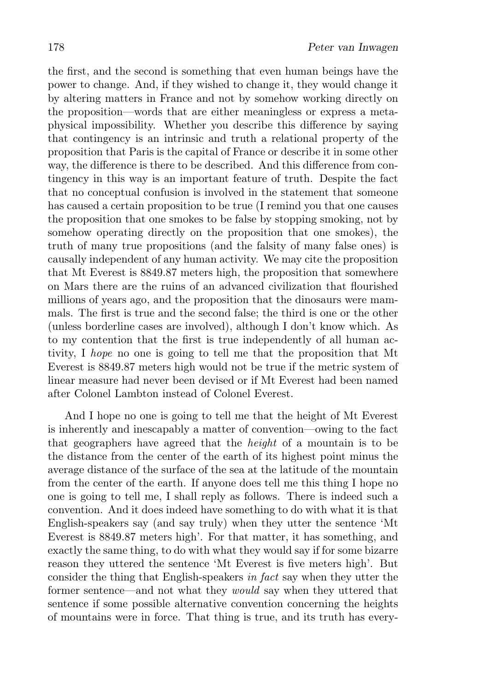the first, and the second is something that even human beings have the power to change. And, if they wished to change it, they would change it by altering matters in France and not by somehow working directly on the proposition—words that are either meaningless or express a metaphysical impossibility. Whether you describe this difference by saying that contingency is an intrinsic and truth a relational property of the proposition that Paris is the capital of France or describe it in some other way, the difference is there to be described. And this difference from contingency in this way is an important feature of truth. Despite the fact that no conceptual confusion is involved in the statement that someone has caused a certain proposition to be true (I remind you that one causes the proposition that one smokes to be false by stopping smoking, not by somehow operating directly on the proposition that one smokes), the truth of many true propositions (and the falsity of many false ones) is causally independent of any human activity. We may cite the proposition that Mt Everest is 8849.87 meters high, the proposition that somewhere on Mars there are the ruins of an advanced civilization that flourished millions of years ago, and the proposition that the dinosaurs were mammals. The first is true and the second false; the third is one or the other (unless borderline cases are involved), although I don't know which. As to my contention that the first is true independently of all human activity, I hope no one is going to tell me that the proposition that Mt Everest is 8849.87 meters high would not be true if the metric system of linear measure had never been devised or if Mt Everest had been named after Colonel Lambton instead of Colonel Everest.

And I hope no one is going to tell me that the height of Mt Everest is inherently and inescapably a matter of convention—owing to the fact that geographers have agreed that the height of a mountain is to be the distance from the center of the earth of its highest point minus the average distance of the surface of the sea at the latitude of the mountain from the center of the earth. If anyone does tell me this thing I hope no one is going to tell me, I shall reply as follows. There is indeed such a convention. And it does indeed have something to do with what it is that English-speakers say (and say truly) when they utter the sentence 'Mt Everest is 8849.87 meters high'. For that matter, it has something, and exactly the same thing, to do with what they would say if for some bizarre reason they uttered the sentence 'Mt Everest is five meters high'. But consider the thing that English-speakers in fact say when they utter the former sentence—and not what they *would* say when they uttered that sentence if some possible alternative convention concerning the heights of mountains were in force. That thing is true, and its truth has every-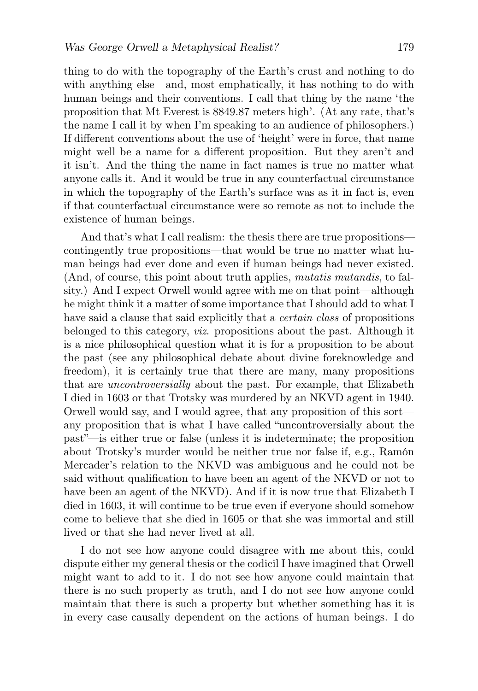thing to do with the topography of the Earth's crust and nothing to do with anything else—and, most emphatically, it has nothing to do with human beings and their conventions. I call that thing by the name 'the proposition that Mt Everest is 8849.87 meters high'. (At any rate, that's the name I call it by when I'm speaking to an audience of philosophers.) If different conventions about the use of 'height' were in force, that name might well be a name for a different proposition. But they aren't and it isn't. And the thing the name in fact names is true no matter what anyone calls it. And it would be true in any counterfactual circumstance in which the topography of the Earth's surface was as it in fact is, even if that counterfactual circumstance were so remote as not to include the existence of human beings.

And that's what I call realism: the thesis there are true propositions contingently true propositions—that would be true no matter what human beings had ever done and even if human beings had never existed. (And, of course, this point about truth applies, mutatis mutandis, to falsity.) And I expect Orwell would agree with me on that point—although he might think it a matter of some importance that I should add to what I have said a clause that said explicitly that a *certain class* of propositions belonged to this category, viz. propositions about the past. Although it is a nice philosophical question what it is for a proposition to be about the past (see any philosophical debate about divine foreknowledge and freedom), it is certainly true that there are many, many propositions that are *uncontroversially* about the past. For example, that Elizabeth I died in 1603 or that Trotsky was murdered by an NKVD agent in 1940. Orwell would say, and I would agree, that any proposition of this sort any proposition that is what I have called "uncontroversially about the past"—is either true or false (unless it is indeterminate; the proposition about Trotsky's murder would be neither true nor false if, e.g., Ramón Mercader's relation to the NKVD was ambiguous and he could not be said without qualification to have been an agent of the NKVD or not to have been an agent of the NKVD). And if it is now true that Elizabeth I died in 1603, it will continue to be true even if everyone should somehow come to believe that she died in 1605 or that she was immortal and still lived or that she had never lived at all.

I do not see how anyone could disagree with me about this, could dispute either my general thesis or the codicil I have imagined that Orwell might want to add to it. I do not see how anyone could maintain that there is no such property as truth, and I do not see how anyone could maintain that there is such a property but whether something has it is in every case causally dependent on the actions of human beings. I do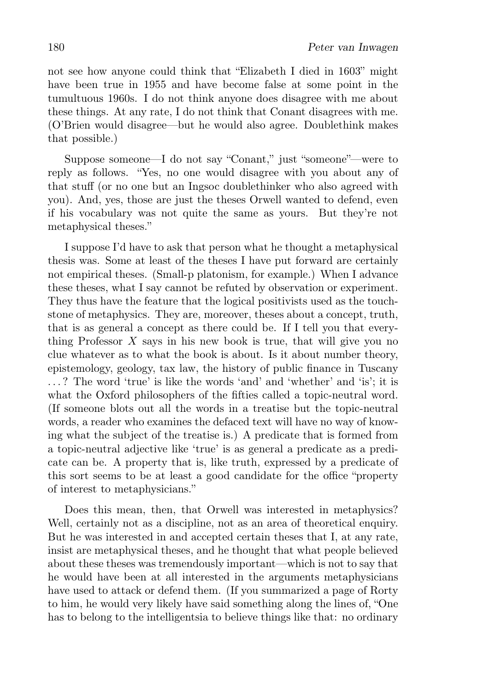not see how anyone could think that "Elizabeth I died in 1603" might have been true in 1955 and have become false at some point in the tumultuous 1960s. I do not think anyone does disagree with me about these things. At any rate, I do not think that Conant disagrees with me. (O'Brien would disagree—but he would also agree. Doublethink makes that possible.)

Suppose someone—I do not say "Conant," just "someone"—were to reply as follows. "Yes, no one would disagree with you about any of that stuff (or no one but an Ingsoc doublethinker who also agreed with you). And, yes, those are just the theses Orwell wanted to defend, even if his vocabulary was not quite the same as yours. But they're not metaphysical theses."

I suppose I'd have to ask that person what he thought a metaphysical thesis was. Some at least of the theses I have put forward are certainly not empirical theses. (Small-p platonism, for example.) When I advance these theses, what I say cannot be refuted by observation or experiment. They thus have the feature that the logical positivists used as the touchstone of metaphysics. They are, moreover, theses about a concept, truth, that is as general a concept as there could be. If I tell you that everything Professor  $X$  says in his new book is true, that will give you no clue whatever as to what the book is about. Is it about number theory, epistemology, geology, tax law, the history of public finance in Tuscany . . . ? The word 'true' is like the words 'and' and 'whether' and 'is'; it is what the Oxford philosophers of the fifties called a topic-neutral word. (If someone blots out all the words in a treatise but the topic-neutral words, a reader who examines the defaced text will have no way of knowing what the subject of the treatise is.) A predicate that is formed from a topic-neutral adjective like 'true' is as general a predicate as a predicate can be. A property that is, like truth, expressed by a predicate of this sort seems to be at least a good candidate for the office "property of interest to metaphysicians."

Does this mean, then, that Orwell was interested in metaphysics? Well, certainly not as a discipline, not as an area of theoretical enquiry. But he was interested in and accepted certain theses that I, at any rate, insist are metaphysical theses, and he thought that what people believed about these theses was tremendously important—which is not to say that he would have been at all interested in the arguments metaphysicians have used to attack or defend them. (If you summarized a page of Rorty to him, he would very likely have said something along the lines of, "One has to belong to the intelligentsia to believe things like that: no ordinary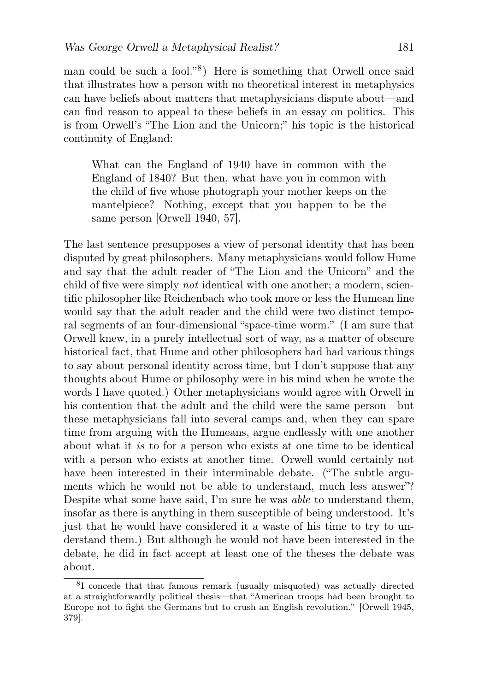man could be such a fool."<sup>8</sup> ) Here is something that Orwell once said that illustrates how a person with no theoretical interest in metaphysics can have beliefs about matters that metaphysicians dispute about—and can find reason to appeal to these beliefs in an essay on politics. This is from Orwell's "The Lion and the Unicorn;" his topic is the historical continuity of England:

What can the England of 1940 have in common with the England of 1840? But then, what have you in common with the child of five whose photograph your mother keeps on the mantelpiece? Nothing, except that you happen to be the same person [Orwell 1940, 57].

The last sentence presupposes a view of personal identity that has been disputed by great philosophers. Many metaphysicians would follow Hume and say that the adult reader of "The Lion and the Unicorn" and the child of five were simply not identical with one another; a modern, scientific philosopher like Reichenbach who took more or less the Humean line would say that the adult reader and the child were two distinct temporal segments of an four-dimensional "space-time worm." (I am sure that Orwell knew, in a purely intellectual sort of way, as a matter of obscure historical fact, that Hume and other philosophers had had various things to say about personal identity across time, but I don't suppose that any thoughts about Hume or philosophy were in his mind when he wrote the words I have quoted.) Other metaphysicians would agree with Orwell in his contention that the adult and the child were the same person—but these metaphysicians fall into several camps and, when they can spare time from arguing with the Humeans, argue endlessly with one another about what it is to for a person who exists at one time to be identical with a person who exists at another time. Orwell would certainly not have been interested in their interminable debate. ("The subtle arguments which he would not be able to understand, much less answer"? Despite what some have said, I'm sure he was able to understand them, insofar as there is anything in them susceptible of being understood. It's just that he would have considered it a waste of his time to try to understand them.) But although he would not have been interested in the debate, he did in fact accept at least one of the theses the debate was about.

<sup>8</sup> I concede that that famous remark (usually misquoted) was actually directed at a straightforwardly political thesis—that "American troops had been brought to Europe not to fight the Germans but to crush an English revolution." [Orwell 1945, 379].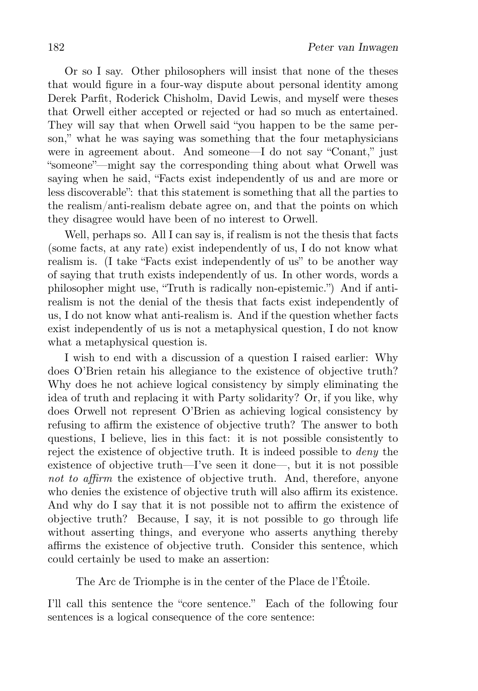Or so I say. Other philosophers will insist that none of the theses that would figure in a four-way dispute about personal identity among Derek Parfit, Roderick Chisholm, David Lewis, and myself were theses that Orwell either accepted or rejected or had so much as entertained. They will say that when Orwell said "you happen to be the same person," what he was saying was something that the four metaphysicians were in agreement about. And someone—I do not say "Conant," just "someone"—might say the corresponding thing about what Orwell was saying when he said, "Facts exist independently of us and are more or less discoverable": that this statement is something that all the parties to the realism/anti-realism debate agree on, and that the points on which they disagree would have been of no interest to Orwell.

Well, perhaps so. All I can say is, if realism is not the thesis that facts (some facts, at any rate) exist independently of us, I do not know what realism is. (I take "Facts exist independently of us" to be another way of saying that truth exists independently of us. In other words, words a philosopher might use, "Truth is radically non-epistemic.") And if antirealism is not the denial of the thesis that facts exist independently of us, I do not know what anti-realism is. And if the question whether facts exist independently of us is not a metaphysical question, I do not know what a metaphysical question is.

I wish to end with a discussion of a question I raised earlier: Why does O'Brien retain his allegiance to the existence of objective truth? Why does he not achieve logical consistency by simply eliminating the idea of truth and replacing it with Party solidarity? Or, if you like, why does Orwell not represent O'Brien as achieving logical consistency by refusing to affirm the existence of objective truth? The answer to both questions, I believe, lies in this fact: it is not possible consistently to reject the existence of objective truth. It is indeed possible to deny the existence of objective truth—I've seen it done—, but it is not possible not to affirm the existence of objective truth. And, therefore, anyone who denies the existence of objective truth will also affirm its existence. And why do I say that it is not possible not to affirm the existence of objective truth? Because, I say, it is not possible to go through life without asserting things, and everyone who asserts anything thereby affirms the existence of objective truth. Consider this sentence, which could certainly be used to make an assertion:

The Arc de Triomphe is in the center of the Place de l'Étoile.

I'll call this sentence the "core sentence." Each of the following four sentences is a logical consequence of the core sentence: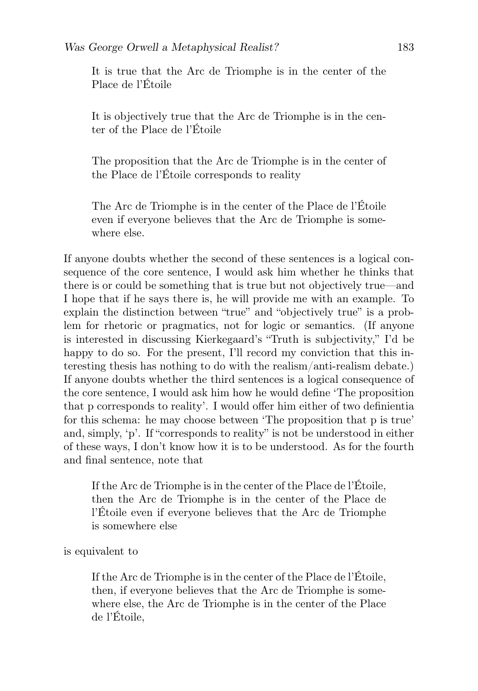It is true that the Arc de Triomphe is in the center of the Place de l'Étoile

It is objectively true that the Arc de Triomphe is in the center of the Place de l'Étoile

The proposition that the Arc de Triomphe is in the center of the Place de l'Étoile corresponds to reality

The Arc de Triomphe is in the center of the Place de l'Étoile even if everyone believes that the Arc de Triomphe is somewhere else.

If anyone doubts whether the second of these sentences is a logical consequence of the core sentence, I would ask him whether he thinks that there is or could be something that is true but not objectively true—and I hope that if he says there is, he will provide me with an example. To explain the distinction between "true" and "objectively true" is a problem for rhetoric or pragmatics, not for logic or semantics. (If anyone is interested in discussing Kierkegaard's "Truth is subjectivity," I'd be happy to do so. For the present, I'll record my conviction that this interesting thesis has nothing to do with the realism/anti-realism debate.) If anyone doubts whether the third sentences is a logical consequence of the core sentence, I would ask him how he would define 'The proposition that p corresponds to reality'. I would offer him either of two definientia for this schema: he may choose between 'The proposition that p is true' and, simply, 'p'. If "corresponds to reality" is not be understood in either of these ways, I don't know how it is to be understood. As for the fourth and final sentence, note that

If the Arc de Triomphe is in the center of the Place de l'Étoile, then the Arc de Triomphe is in the center of the Place de l'Étoile even if everyone believes that the Arc de Triomphe is somewhere else

is equivalent to

If the Arc de Triomphe is in the center of the Place de l'Étoile, then, if everyone believes that the Arc de Triomphe is somewhere else, the Arc de Triomphe is in the center of the Place de l'Étoile,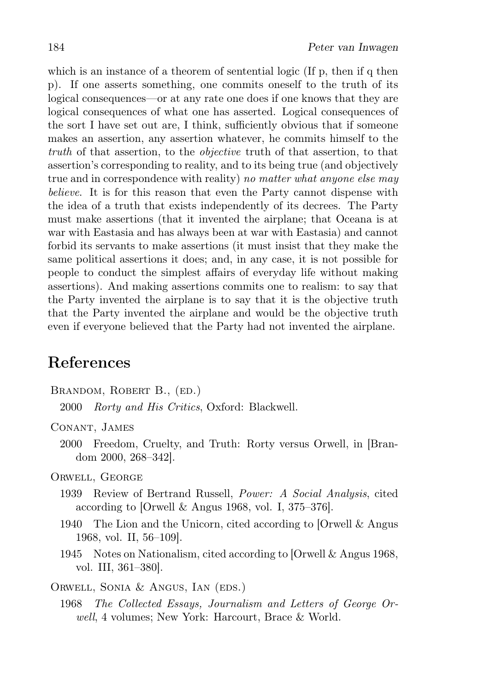which is an instance of a theorem of sentential logic (If  $p$ , then if q then p). If one asserts something, one commits oneself to the truth of its logical consequences—or at any rate one does if one knows that they are logical consequences of what one has asserted. Logical consequences of the sort I have set out are, I think, sufficiently obvious that if someone makes an assertion, any assertion whatever, he commits himself to the truth of that assertion, to the objective truth of that assertion, to that assertion's corresponding to reality, and to its being true (and objectively true and in correspondence with reality) no matter what anyone else may believe. It is for this reason that even the Party cannot dispense with the idea of a truth that exists independently of its decrees. The Party must make assertions (that it invented the airplane; that Oceana is at war with Eastasia and has always been at war with Eastasia) and cannot forbid its servants to make assertions (it must insist that they make the same political assertions it does; and, in any case, it is not possible for people to conduct the simplest affairs of everyday life without making assertions). And making assertions commits one to realism: to say that the Party invented the airplane is to say that it is the objective truth that the Party invented the airplane and would be the objective truth even if everyone believed that the Party had not invented the airplane.

### References

- BRANDOM, ROBERT B., (ED.)
	- 2000 Rorty and His Critics, Oxford: Blackwell.

Conant, James

2000 Freedom, Cruelty, and Truth: Rorty versus Orwell, in [Brandom 2000, 268–342].

Orwell, George

- 1939 Review of Bertrand Russell, Power: A Social Analysis, cited according to [Orwell & Angus 1968, vol. I, 375–376].
- 1940 The Lion and the Unicorn, cited according to [Orwell & Angus 1968, vol. II, 56–109].
- 1945 Notes on Nationalism, cited according to [Orwell & Angus 1968, vol. III, 361–380].

Orwell, Sonia & Angus, Ian (eds.)

1968 The Collected Essays, Journalism and Letters of George Orwell, 4 volumes; New York: Harcourt, Brace & World.